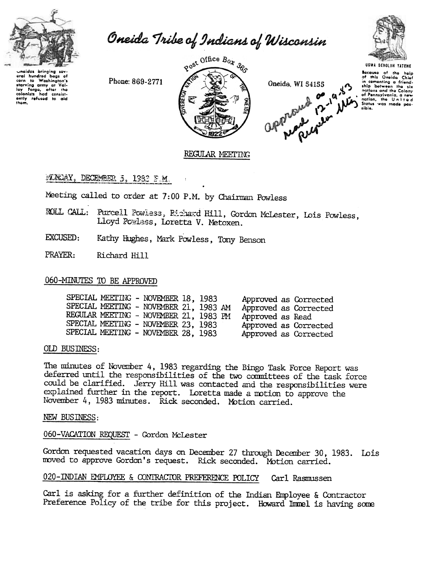

Oneida Tribe of Indians of Wisconsin



neidas bringing aral hundred bags of wrain nundrod bags of<br>corn to Washington's<br>starving army at Val-<br>clop forga, after the<br>colonists had consist-<br>ently refused to aid<br>them.

Phone: 869-2771



approximation of 12-19 NW Oneida, WI 54155

**UGWA DENOLUN YATENE** Secause of the help<br>of this Oneida Chief or mis Chelata Chief<br>in comenting a friend-<br>ship botween the six<br>notions and the Colony<br>of Pennsylvario, a new<br>nation, the United<br>States was made pos-<br>States was made possibia.

# REGULAR MEETING

## **FINDAY, DECEMBER 5, 1982 P.M.**

Meeting called to order at 7:00 P.M. by Chairman Powless

- ROLL CALL: Purcell Powless, Richard Hill, Gordon McLester, Lois Powless, Lloyd Powless, Loretta V. Metoxen.
- EXCUSED: Kathy Hughes, Mark Powless, Tony Benson
- PRAYER: Richard Hill

## 060-MINUTES TO BE APPROVED

| SPECIAL MEETING - NOVEMBER 18, 1983<br>SPECIAL MEETING - NOVEMBER 21, 1983 AM<br>REGULAR MEETING - NOVEMBER 21, 1983 PM<br>SPECIAL MEETING - NOVEMBER 23, 1983<br>SPECIAL MEETING - NOVEMBER 28, 1983 | Approved as Corrected<br>Approved as Corrected<br>Approved as Read<br>Approved as Corrected<br>Approved as Corrected |
|-------------------------------------------------------------------------------------------------------------------------------------------------------------------------------------------------------|----------------------------------------------------------------------------------------------------------------------|

### OLD BUSINESS:

The minutes of November 4, 1983 regarding the Bingo Task Force Report was deferred until the responsibilities of the two committees of the task force could be clarified. Jerry Hill was contacted and the responsibilities were explained further in the report. Loretta made a motion to approve the November 4, 1983 minutes. Rick seconded. Motion carried.

#### NEW BUSINESS:

### 060-VACATION REQUEST - Gordon McLester

Gordon requested vacation days on December 27 through December 30, 1983. Lois moved to approve Gordon's request. Rick seconded. Motion carried.

#### 020-INDIAN EMPLOYEE & CONTRACTOR PREFERENCE POLICY Carl Rasmussen

Carl is asking for a further definition of the Indian Employee & Contractor Preference Policy of the tribe for this project. Howard Immel is having some